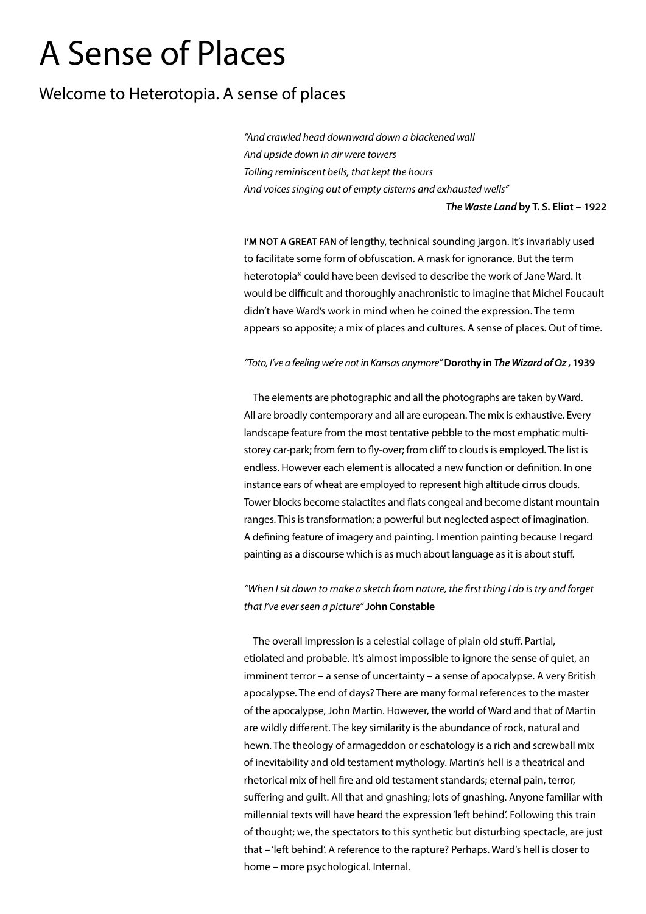# A Sense of Places

## Welcome to Heterotopia. A sense of places

*"And crawled head downward down a blackened wall And upside down in air were towers Tolling reminiscent bells, that kept the hours And voices singing out of empty cisterns and exhausted wells"*

*The Waste Land* **by T. S. Eliot – 1922**

**I'M NOT A GREAT FAN** of lengthy, technical sounding jargon. It's invariably used to facilitate some form of obfuscation. A mask for ignorance. But the term heterotopia\* could have been devised to describe the work of Jane Ward. It would be difficult and thoroughly anachronistic to imagine that Michel Foucault didn't have Ward's work in mind when he coined the expression. The term appears so apposite; a mix of places and cultures. A sense of places. Out of time.

#### *"Toto, I've a feeling we're not in Kansas anymore"* **Dorothy in** *The Wizard of Oz* **, 1939**

The elements are photographic and all the photographs are taken by Ward. All are broadly contemporary and all are european. The mix is exhaustive. Every landscape feature from the most tentative pebble to the most emphatic multistorey car-park; from fern to fly-over; from cliff to clouds is employed. The list is endless. However each element is allocated a new function or definition. In one instance ears of wheat are employed to represent high altitude cirrus clouds. Tower blocks become stalactites and flats congeal and become distant mountain ranges. This is transformation; a powerful but neglected aspect of imagination. A defining feature of imagery and painting. I mention painting because I regard painting as a discourse which is as much about language as it is about stuff.

*"When I sit down to make a sketch from nature, the first thing I do is try and forget that I've ever seen a picture"* **John Constable**

The overall impression is a celestial collage of plain old stuff. Partial, etiolated and probable. It's almost impossible to ignore the sense of quiet, an imminent terror – a sense of uncertainty – a sense of apocalypse. A very British apocalypse. The end of days? There are many formal references to the master of the apocalypse, John Martin. However, the world of Ward and that of Martin are wildly different. The key similarity is the abundance of rock, natural and hewn. The theology of armageddon or eschatology is a rich and screwball mix of inevitability and old testament mythology. Martin's hell is a theatrical and rhetorical mix of hell fire and old testament standards; eternal pain, terror, suffering and guilt. All that and gnashing; lots of gnashing. Anyone familiar with millennial texts will have heard the expression 'left behind'. Following this train of thought; we, the spectators to this synthetic but disturbing spectacle, are just that – 'left behind'. A reference to the rapture? Perhaps. Ward's hell is closer to home – more psychological. Internal.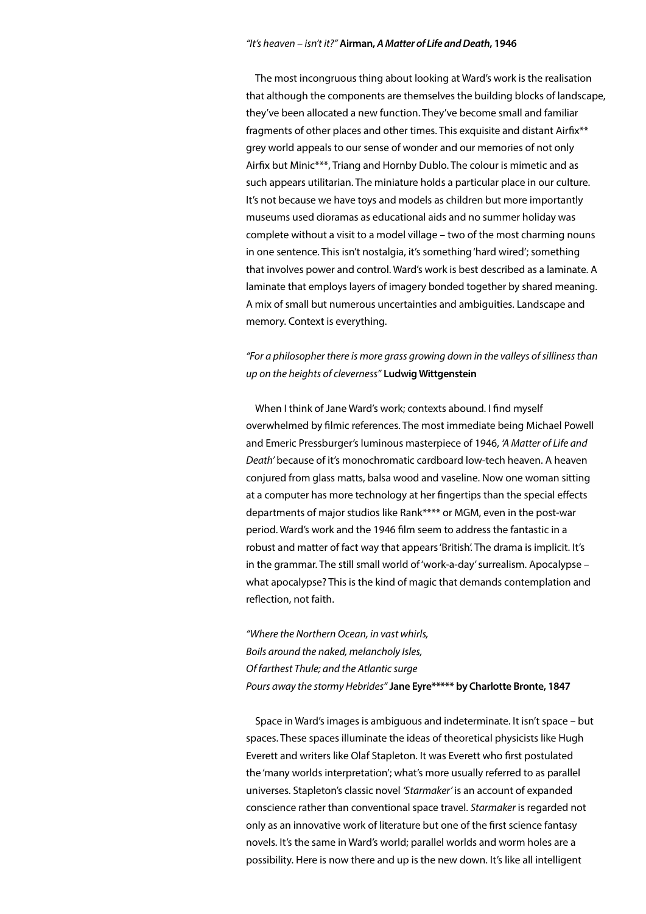#### *"It's heaven – isn't it?"* **Airman,** *A Matter of Life and Death***, 1946**

The most incongruous thing about looking at Ward's work is the realisation that although the components are themselves the building blocks of landscape, they've been allocated a new function. They've become small and familiar fragments of other places and other times. This exquisite and distant Airfix\*\* grey world appeals to our sense of wonder and our memories of not only Airfix but Minic\*\*\*, Triang and Hornby Dublo. The colour is mimetic and as such appears utilitarian. The miniature holds a particular place in our culture. It's not because we have toys and models as children but more importantly museums used dioramas as educational aids and no summer holiday was complete without a visit to a model village – two of the most charming nouns in one sentence. This isn't nostalgia, it's something 'hard wired'; something that involves power and control. Ward's work is best described as a laminate. A laminate that employs layers of imagery bonded together by shared meaning. A mix of small but numerous uncertainties and ambiguities. Landscape and memory. Context is everything.

### *"For a philosopher there is more grass growing down in the valleys of silliness than up on the heights of cleverness"* **Ludwig Wittgenstein**

When I think of Jane Ward's work; contexts abound. I find myself overwhelmed by filmic references. The most immediate being Michael Powell and Emeric Pressburger's luminous masterpiece of 1946, *'A Matter of Life and Death'* because of it's monochromatic cardboard low-tech heaven. A heaven conjured from glass matts, balsa wood and vaseline. Now one woman sitting at a computer has more technology at her fingertips than the special effects departments of major studios like Rank\*\*\*\* or MGM, even in the post-war period. Ward's work and the 1946 film seem to address the fantastic in a robust and matter of fact way that appears 'British'. The drama is implicit. It's in the grammar. The still small world of 'work-a-day' surrealism. Apocalypse – what apocalypse? This is the kind of magic that demands contemplation and reflection, not faith.

*"Where the Northern Ocean, in vast whirls, Boils around the naked, melancholy Isles, Of farthest Thule; and the Atlantic surge Pours away the stormy Hebrides"* **Jane Eyre\*\*\*\*\* by Charlotte Bronte, 1847**

Space in Ward's images is ambiguous and indeterminate. It isn't space – but spaces. These spaces illuminate the ideas of theoretical physicists like Hugh Everett and writers like Olaf Stapleton. It was Everett who first postulated the 'many worlds interpretation'; what's more usually referred to as parallel universes. Stapleton's classic novel *'Starmaker'* is an account of expanded conscience rather than conventional space travel. *Starmaker* is regarded not only as an innovative work of literature but one of the first science fantasy novels. It's the same in Ward's world; parallel worlds and worm holes are a possibility. Here is now there and up is the new down. It's like all intelligent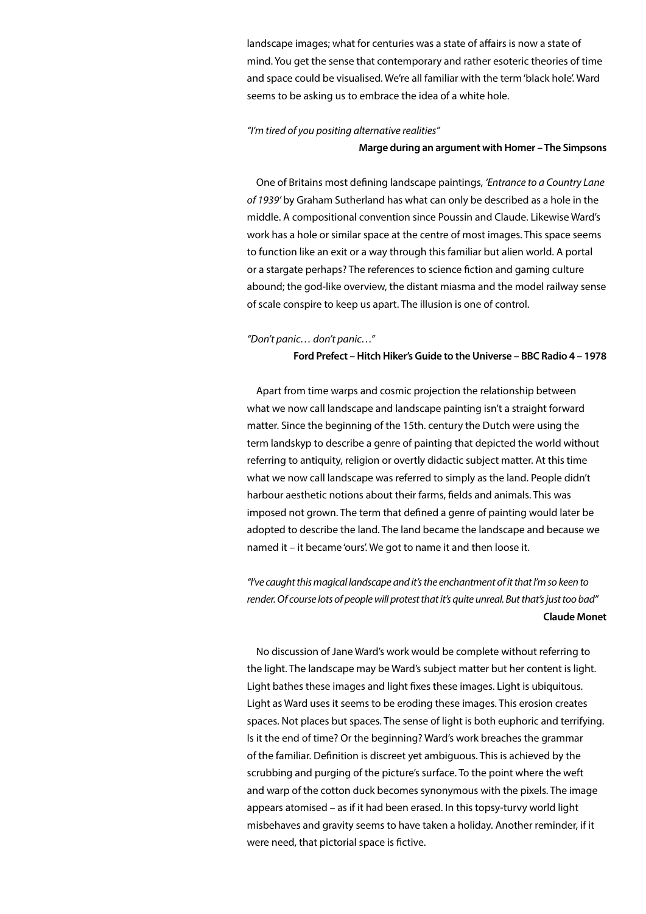landscape images; what for centuries was a state of affairs is now a state of mind. You get the sense that contemporary and rather esoteric theories of time and space could be visualised. We're all familiar with the term 'black hole'. Ward seems to be asking us to embrace the idea of a white hole.

#### *"I'm tired of you positing alternative realities"*

#### **Marge during an argument with Homer – The Simpsons**

One of Britains most defining landscape paintings, *'Entrance to a Country Lane of 1939'* by Graham Sutherland has what can only be described as a hole in the middle. A compositional convention since Poussin and Claude. Likewise Ward's work has a hole or similar space at the centre of most images. This space seems to function like an exit or a way through this familiar but alien world. A portal or a stargate perhaps? The references to science fiction and gaming culture abound; the god-like overview, the distant miasma and the model railway sense of scale conspire to keep us apart. The illusion is one of control.

#### *"Don't panic… don't panic…"*

**Ford Prefect – Hitch Hiker's Guide to the Universe – BBC Radio 4 – 1978**

Apart from time warps and cosmic projection the relationship between what we now call landscape and landscape painting isn't a straight forward matter. Since the beginning of the 15th. century the Dutch were using the term landskyp to describe a genre of painting that depicted the world without referring to antiquity, religion or overtly didactic subject matter. At this time what we now call landscape was referred to simply as the land. People didn't harbour aesthetic notions about their farms, fields and animals. This was imposed not grown. The term that defined a genre of painting would later be adopted to describe the land. The land became the landscape and because we named it – it became 'ours'. We got to name it and then loose it.

*"I've caught this magical landscape and it's the enchantment of it that I'm so keen to render. Of course lots of people will protest that it's quite unreal. But that's just too bad"*  **Claude Monet**

No discussion of Jane Ward's work would be complete without referring to the light. The landscape may be Ward's subject matter but her content is light. Light bathes these images and light fixes these images. Light is ubiquitous. Light as Ward uses it seems to be eroding these images. This erosion creates spaces. Not places but spaces. The sense of light is both euphoric and terrifying. Is it the end of time? Or the beginning? Ward's work breaches the grammar of the familiar. Definition is discreet yet ambiguous. This is achieved by the scrubbing and purging of the picture's surface. To the point where the weft and warp of the cotton duck becomes synonymous with the pixels. The image appears atomised – as if it had been erased. In this topsy-turvy world light misbehaves and gravity seems to have taken a holiday. Another reminder, if it were need, that pictorial space is fictive.